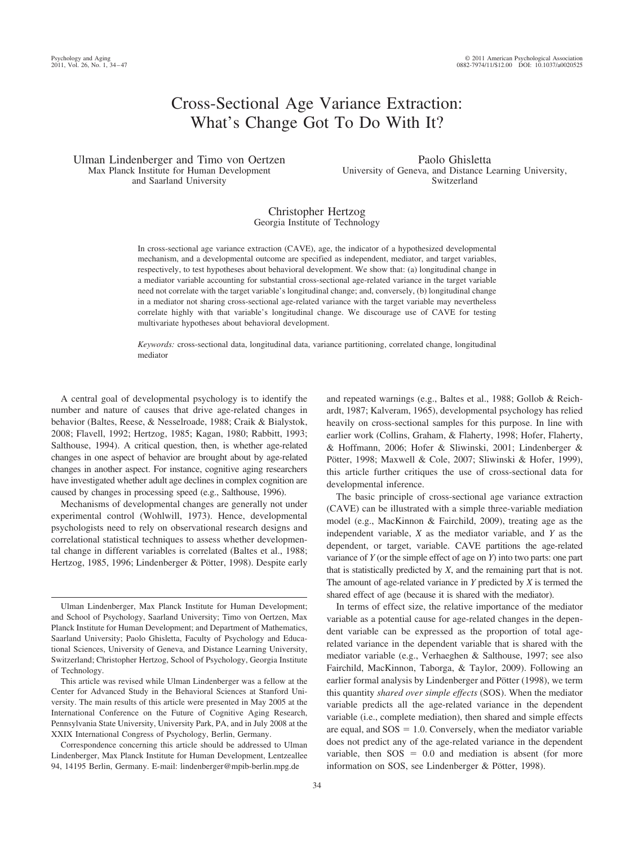# Cross-Sectional Age Variance Extraction: What's Change Got To Do With It?

Ulman Lindenberger and Timo von Oertzen Max Planck Institute for Human Development and Saarland University

Paolo Ghisletta University of Geneva, and Distance Learning University, Switzerland

### Christopher Hertzog Georgia Institute of Technology

In cross-sectional age variance extraction (CAVE), age, the indicator of a hypothesized developmental mechanism, and a developmental outcome are specified as independent, mediator, and target variables, respectively, to test hypotheses about behavioral development. We show that: (a) longitudinal change in a mediator variable accounting for substantial cross-sectional age-related variance in the target variable need not correlate with the target variable's longitudinal change; and, conversely, (b) longitudinal change in a mediator not sharing cross-sectional age-related variance with the target variable may nevertheless correlate highly with that variable's longitudinal change. We discourage use of CAVE for testing multivariate hypotheses about behavioral development.

*Keywords:* cross-sectional data, longitudinal data, variance partitioning, correlated change, longitudinal mediator

A central goal of developmental psychology is to identify the number and nature of causes that drive age-related changes in behavior (Baltes, Reese, & Nesselroade, 1988; Craik & Bialystok, 2008; Flavell, 1992; Hertzog, 1985; Kagan, 1980; Rabbitt, 1993; Salthouse, 1994). A critical question, then, is whether age-related changes in one aspect of behavior are brought about by age-related changes in another aspect. For instance, cognitive aging researchers have investigated whether adult age declines in complex cognition are caused by changes in processing speed (e.g., Salthouse, 1996).

Mechanisms of developmental changes are generally not under experimental control (Wohlwill, 1973). Hence, developmental psychologists need to rely on observational research designs and correlational statistical techniques to assess whether developmental change in different variables is correlated (Baltes et al., 1988; Hertzog, 1985, 1996; Lindenberger & Pötter, 1998). Despite early

Ulman Lindenberger, Max Planck Institute for Human Development; and School of Psychology, Saarland University; Timo von Oertzen, Max Planck Institute for Human Development; and Department of Mathematics, Saarland University; Paolo Ghisletta, Faculty of Psychology and Educational Sciences, University of Geneva, and Distance Learning University, Switzerland; Christopher Hertzog, School of Psychology, Georgia Institute of Technology.

This article was revised while Ulman Lindenberger was a fellow at the Center for Advanced Study in the Behavioral Sciences at Stanford University. The main results of this article were presented in May 2005 at the International Conference on the Future of Cognitive Aging Research, Pennsylvania State University, University Park, PA, and in July 2008 at the XXIX International Congress of Psychology, Berlin, Germany.

Correspondence concerning this article should be addressed to Ulman Lindenberger, Max Planck Institute for Human Development, Lentzeallee 94, 14195 Berlin, Germany. E-mail: lindenberger@mpib-berlin.mpg.de

and repeated warnings (e.g., Baltes et al., 1988; Gollob & Reichardt, 1987; Kalveram, 1965), developmental psychology has relied heavily on cross-sectional samples for this purpose. In line with earlier work (Collins, Graham, & Flaherty, 1998; Hofer, Flaherty, & Hoffmann, 2006; Hofer & Sliwinski, 2001; Lindenberger & Pötter, 1998; Maxwell & Cole, 2007; Sliwinski & Hofer, 1999), this article further critiques the use of cross-sectional data for developmental inference.

The basic principle of cross-sectional age variance extraction (CAVE) can be illustrated with a simple three-variable mediation model (e.g., MacKinnon & Fairchild, 2009), treating age as the independent variable, *X* as the mediator variable, and *Y* as the dependent, or target, variable. CAVE partitions the age-related variance of *Y* (or the simple effect of age on *Y*) into two parts: one part that is statistically predicted by *X*, and the remaining part that is not. The amount of age-related variance in *Y* predicted by *X* is termed the shared effect of age (because it is shared with the mediator).

In terms of effect size, the relative importance of the mediator variable as a potential cause for age-related changes in the dependent variable can be expressed as the proportion of total agerelated variance in the dependent variable that is shared with the mediator variable (e.g., Verhaeghen & Salthouse, 1997; see also Fairchild, MacKinnon, Taborga, & Taylor, 2009). Following an earlier formal analysis by Lindenberger and Pötter (1998), we term this quantity *shared over simple effects* (SOS). When the mediator variable predicts all the age-related variance in the dependent variable (i.e., complete mediation), then shared and simple effects are equal, and  $SOS = 1.0$ . Conversely, when the mediator variable does not predict any of the age-related variance in the dependent variable, then  $SOS = 0.0$  and mediation is absent (for more information on SOS, see Lindenberger & Pötter, 1998).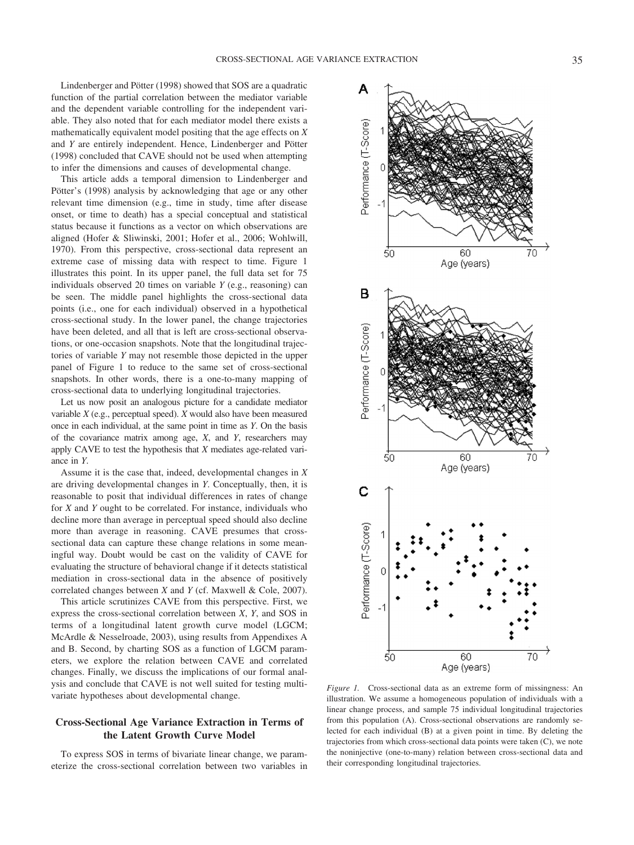Lindenberger and Pötter (1998) showed that SOS are a quadratic function of the partial correlation between the mediator variable and the dependent variable controlling for the independent variable. They also noted that for each mediator model there exists a mathematically equivalent model positing that the age effects on *X* and *Y* are entirely independent. Hence, Lindenberger and Pötter (1998) concluded that CAVE should not be used when attempting to infer the dimensions and causes of developmental change.

This article adds a temporal dimension to Lindenberger and Pötter's (1998) analysis by acknowledging that age or any other relevant time dimension (e.g., time in study, time after disease onset, or time to death) has a special conceptual and statistical status because it functions as a vector on which observations are aligned (Hofer & Sliwinski, 2001; Hofer et al., 2006; Wohlwill, 1970). From this perspective, cross-sectional data represent an extreme case of missing data with respect to time. Figure 1 illustrates this point. In its upper panel, the full data set for 75 individuals observed 20 times on variable *Y* (e.g., reasoning) can be seen. The middle panel highlights the cross-sectional data points (i.e., one for each individual) observed in a hypothetical cross-sectional study. In the lower panel, the change trajectories have been deleted, and all that is left are cross-sectional observations, or one-occasion snapshots. Note that the longitudinal trajectories of variable *Y* may not resemble those depicted in the upper panel of Figure 1 to reduce to the same set of cross-sectional snapshots. In other words, there is a one-to-many mapping of cross-sectional data to underlying longitudinal trajectories.

Let us now posit an analogous picture for a candidate mediator variable *X* (e.g., perceptual speed). *X* would also have been measured once in each individual, at the same point in time as *Y*. On the basis of the covariance matrix among age, *X*, and *Y*, researchers may apply CAVE to test the hypothesis that *X* mediates age-related variance in *Y*.

Assume it is the case that, indeed, developmental changes in *X* are driving developmental changes in *Y*. Conceptually, then, it is reasonable to posit that individual differences in rates of change for *X* and *Y* ought to be correlated. For instance, individuals who decline more than average in perceptual speed should also decline more than average in reasoning. CAVE presumes that crosssectional data can capture these change relations in some meaningful way. Doubt would be cast on the validity of CAVE for evaluating the structure of behavioral change if it detects statistical mediation in cross-sectional data in the absence of positively correlated changes between *X* and *Y* (cf. Maxwell & Cole, 2007).

This article scrutinizes CAVE from this perspective. First, we express the cross-sectional correlation between *X*, *Y*, and SOS in terms of a longitudinal latent growth curve model (LGCM; McArdle & Nesselroade, 2003), using results from Appendixes A and B. Second, by charting SOS as a function of LGCM parameters, we explore the relation between CAVE and correlated changes. Finally, we discuss the implications of our formal analysis and conclude that CAVE is not well suited for testing multivariate hypotheses about developmental change.

# **Cross-Sectional Age Variance Extraction in Terms of the Latent Growth Curve Model**

To express SOS in terms of bivariate linear change, we parameterize the cross-sectional correlation between two variables in



*Figure 1.* Cross-sectional data as an extreme form of missingness: An illustration. We assume a homogeneous population of individuals with a linear change process, and sample 75 individual longitudinal trajectories from this population (A). Cross-sectional observations are randomly selected for each individual (B) at a given point in time. By deleting the trajectories from which cross-sectional data points were taken (C), we note the noninjective (one-to-many) relation between cross-sectional data and their corresponding longitudinal trajectories.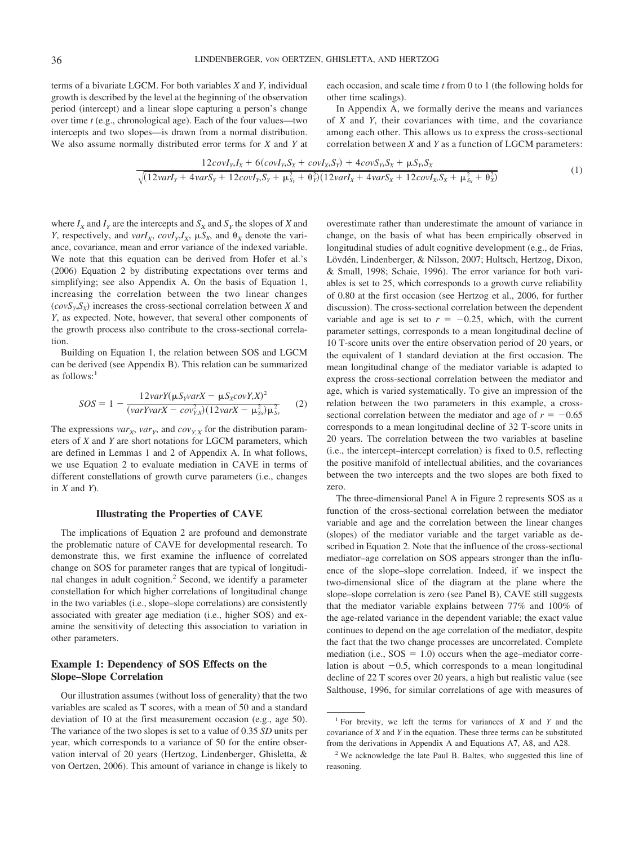terms of a bivariate LGCM. For both variables *X* and *Y*, individual growth is described by the level at the beginning of the observation period (intercept) and a linear slope capturing a person's change over time *t* (e.g., chronological age). Each of the four values—two intercepts and two slopes—is drawn from a normal distribution. We also assume normally distributed error terms for *X* and *Y* at

each occasion, and scale time *t* from 0 to 1 (the following holds for other time scalings).

In Appendix A, we formally derive the means and variances of *X* and *Y*, their covariances with time, and the covariance among each other. This allows us to express the cross-sectional correlation between *X* and *Y* as a function of LGCM parameters:

$$
\frac{12covI_{Y_1}I_{X} + 6(covI_{Y_2}S_{X} + covI_{X_2}S_{Y}) + 4covS_{Y_2}S_{X} + \mu S_{Y_2}S_{X}}{\sqrt{(12varI_{Y} + 4varS_{Y} + 12covI_{Y_2}S_{Y} + \mu_{S_{Y}}^2 + \theta_{Y}^2)(12varI_{X} + 4varS_{X} + 12covI_{X_2}S_{X} + \mu_{S_{X}}^2 + \theta_{X}^2)}
$$
\n(1)

where  $I_X$  and  $I_Y$  are the intercepts and  $S_X$  and  $S_Y$  the slopes of *X* and *Y*, respectively, and *varI<sub>x</sub>*, *covI<sub>Y</sub>*,  $I_X$ ,  $\mu S_X$ , and  $\theta_X$  denote the variance, covariance, mean and error variance of the indexed variable. We note that this equation can be derived from Hofer et al.'s (2006) Equation 2 by distributing expectations over terms and simplifying; see also Appendix A. On the basis of Equation 1, increasing the correlation between the two linear changes  $(covS<sub>y</sub>, S<sub>x</sub>)$  increases the cross-sectional correlation between *X* and *Y*, as expected. Note, however, that several other components of the growth process also contribute to the cross-sectional correlation.

Building on Equation 1, the relation between SOS and LGCM can be derived (see Appendix B). This relation can be summarized as follows: $<sup>1</sup>$ </sup>

$$
SOS = 1 - \frac{12varY(\mu S_{Y}varX - \mu S_{X}covY, X)^{2}}{(varYvarX - cov_{Y,X}^{2})(12varX - \mu_{S_{Y}}^{2})\mu_{S_{Y}}^{2}} \tag{2}
$$

The expressions  $var_x$ ,  $var_y$ , and  $cov_{Y,X}$  for the distribution parameters of *X* and *Y* are short notations for LGCM parameters, which are defined in Lemmas 1 and 2 of Appendix A. In what follows, we use Equation 2 to evaluate mediation in CAVE in terms of different constellations of growth curve parameters (i.e., changes in *X* and *Y*).

#### **Illustrating the Properties of CAVE**

The implications of Equation 2 are profound and demonstrate the problematic nature of CAVE for developmental research. To demonstrate this, we first examine the influence of correlated change on SOS for parameter ranges that are typical of longitudinal changes in adult cognition.<sup>2</sup> Second, we identify a parameter constellation for which higher correlations of longitudinal change in the two variables (i.e., slope–slope correlations) are consistently associated with greater age mediation (i.e., higher SOS) and examine the sensitivity of detecting this association to variation in other parameters.

# **Example 1: Dependency of SOS Effects on the Slope–Slope Correlation**

Our illustration assumes (without loss of generality) that the two variables are scaled as T scores, with a mean of 50 and a standard deviation of 10 at the first measurement occasion (e.g., age 50). The variance of the two slopes is set to a value of 0.35 *SD* units per year, which corresponds to a variance of 50 for the entire observation interval of 20 years (Hertzog, Lindenberger, Ghisletta, & von Oertzen, 2006). This amount of variance in change is likely to overestimate rather than underestimate the amount of variance in change, on the basis of what has been empirically observed in longitudinal studies of adult cognitive development (e.g., de Frias, Lövdén, Lindenberger, & Nilsson, 2007; Hultsch, Hertzog, Dixon, & Small, 1998; Schaie, 1996). The error variance for both variables is set to 25, which corresponds to a growth curve reliability of 0.80 at the first occasion (see Hertzog et al., 2006, for further discussion). The cross-sectional correlation between the dependent variable and age is set to  $r = -0.25$ , which, with the current parameter settings, corresponds to a mean longitudinal decline of 10 T-score units over the entire observation period of 20 years, or the equivalent of 1 standard deviation at the first occasion. The mean longitudinal change of the mediator variable is adapted to express the cross-sectional correlation between the mediator and age, which is varied systematically. To give an impression of the relation between the two parameters in this example, a crosssectional correlation between the mediator and age of  $r = -0.65$ corresponds to a mean longitudinal decline of 32 T-score units in 20 years. The correlation between the two variables at baseline (i.e., the intercept–intercept correlation) is fixed to 0.5, reflecting the positive manifold of intellectual abilities, and the covariances between the two intercepts and the two slopes are both fixed to zero.

The three-dimensional Panel A in Figure 2 represents SOS as a function of the cross-sectional correlation between the mediator variable and age and the correlation between the linear changes (slopes) of the mediator variable and the target variable as described in Equation 2. Note that the influence of the cross-sectional mediator–age correlation on SOS appears stronger than the influence of the slope–slope correlation. Indeed, if we inspect the two-dimensional slice of the diagram at the plane where the slope–slope correlation is zero (see Panel B), CAVE still suggests that the mediator variable explains between 77% and 100% of the age-related variance in the dependent variable; the exact value continues to depend on the age correlation of the mediator, despite the fact that the two change processes are uncorrelated. Complete mediation (i.e.,  $SOS = 1.0$ ) occurs when the age–mediator correlation is about  $-0.5$ , which corresponds to a mean longitudinal decline of 22 T scores over 20 years, a high but realistic value (see Salthouse, 1996, for similar correlations of age with measures of

<sup>1</sup> For brevity, we left the terms for variances of *X* and *Y* and the covariance of *X* and *Y* in the equation. These three terms can be substituted from the derivations in Appendix A and Equations A7, A8, and A28.

<sup>&</sup>lt;sup>2</sup> We acknowledge the late Paul B. Baltes, who suggested this line of reasoning.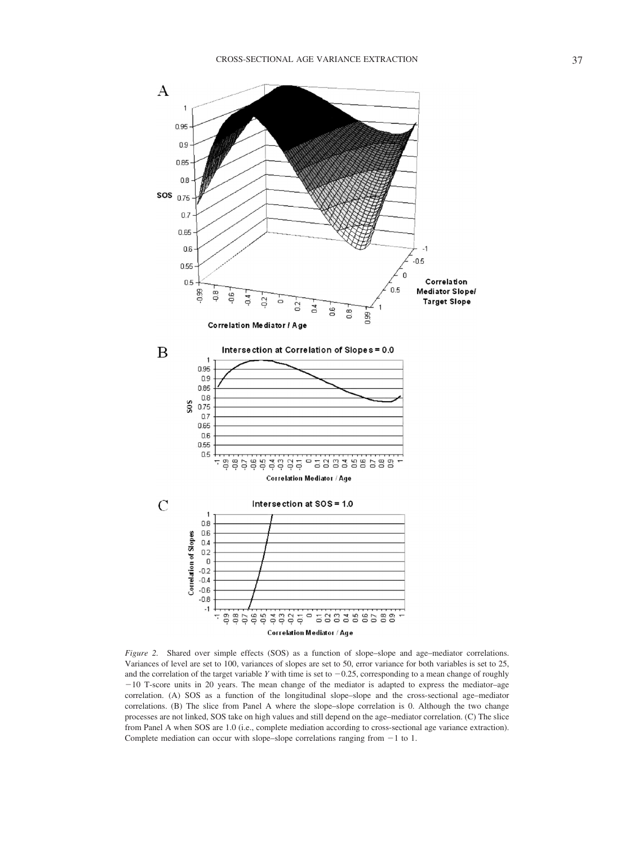

*Figure 2.* Shared over simple effects (SOS) as a function of slope–slope and age–mediator correlations. Variances of level are set to 100, variances of slopes are set to 50, error variance for both variables is set to 25, and the correlation of the target variable *Y* with time is set to  $-0.25$ , corresponding to a mean change of roughly &10 T-score units in 20 years. The mean change of the mediator is adapted to express the mediator–age correlation. (A) SOS as a function of the longitudinal slope–slope and the cross-sectional age–mediator correlations. (B) The slice from Panel A where the slope–slope correlation is 0. Although the two change processes are not linked, SOS take on high values and still depend on the age–mediator correlation. (C) The slice from Panel A when SOS are 1.0 (i.e., complete mediation according to cross-sectional age variance extraction). Complete mediation can occur with slope–slope correlations ranging from  $-1$  to 1.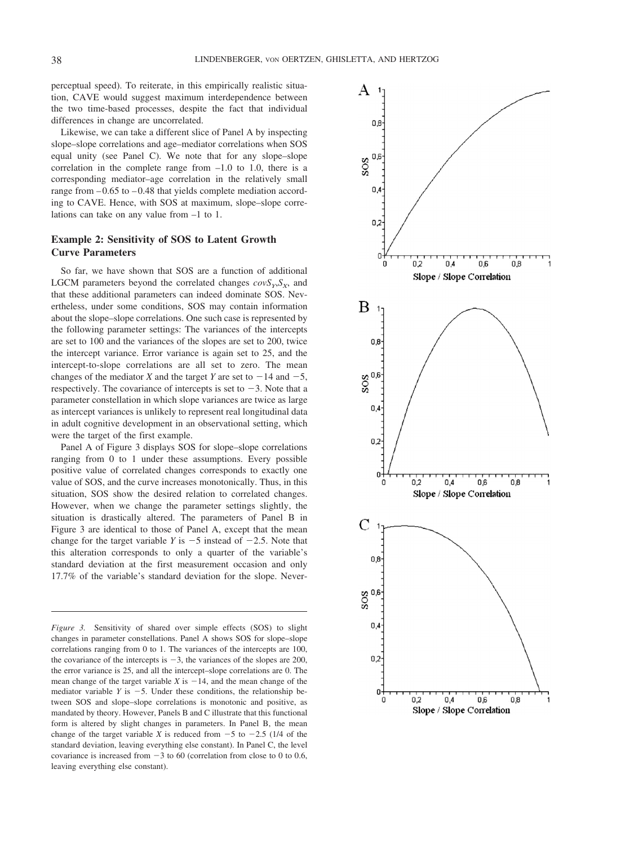perceptual speed). To reiterate, in this empirically realistic situation, CAVE would suggest maximum interdependence between the two time-based processes, despite the fact that individual differences in change are uncorrelated.

Likewise, we can take a different slice of Panel A by inspecting slope–slope correlations and age–mediator correlations when SOS equal unity (see Panel C). We note that for any slope–slope correlation in the complete range from  $-1.0$  to 1.0, there is a corresponding mediator–age correlation in the relatively small range from  $-0.65$  to  $-0.48$  that yields complete mediation according to CAVE. Hence, with SOS at maximum, slope–slope correlations can take on any value from –1 to 1.

# **Example 2: Sensitivity of SOS to Latent Growth Curve Parameters**

So far, we have shown that SOS are a function of additional LGCM parameters beyond the correlated changes  $\cos S_{Y}S_{X}$ , and that these additional parameters can indeed dominate SOS. Nevertheless, under some conditions, SOS may contain information about the slope–slope correlations. One such case is represented by the following parameter settings: The variances of the intercepts are set to 100 and the variances of the slopes are set to 200, twice the intercept variance. Error variance is again set to 25, and the intercept-to-slope correlations are all set to zero. The mean changes of the mediator *X* and the target *Y* are set to  $-14$  and  $-5$ , respectively. The covariance of intercepts is set to  $-3$ . Note that a parameter constellation in which slope variances are twice as large as intercept variances is unlikely to represent real longitudinal data in adult cognitive development in an observational setting, which were the target of the first example.

Panel A of Figure 3 displays SOS for slope–slope correlations ranging from 0 to 1 under these assumptions. Every possible positive value of correlated changes corresponds to exactly one value of SOS, and the curve increases monotonically. Thus, in this situation, SOS show the desired relation to correlated changes. However, when we change the parameter settings slightly, the situation is drastically altered. The parameters of Panel B in Figure 3 are identical to those of Panel A, except that the mean change for the target variable *Y* is  $-5$  instead of  $-2.5$ . Note that this alteration corresponds to only a quarter of the variable's standard deviation at the first measurement occasion and only 17.7% of the variable's standard deviation for the slope. Never-

*Figure 3.* Sensitivity of shared over simple effects (SOS) to slight changes in parameter constellations. Panel A shows SOS for slope–slope correlations ranging from 0 to 1. The variances of the intercepts are 100, the covariance of the intercepts is  $-3$ , the variances of the slopes are 200, the error variance is 25, and all the intercept–slope correlations are 0. The mean change of the target variable *X* is  $-14$ , and the mean change of the mediator variable *Y* is  $-5$ . Under these conditions, the relationship between SOS and slope–slope correlations is monotonic and positive, as mandated by theory. However, Panels B and C illustrate that this functional form is altered by slight changes in parameters. In Panel B, the mean change of the target variable *X* is reduced from  $-5$  to  $-2.5$  (1/4 of the standard deviation, leaving everything else constant). In Panel C, the level covariance is increased from  $-3$  to 60 (correlation from close to 0 to 0.6, leaving everything else constant).

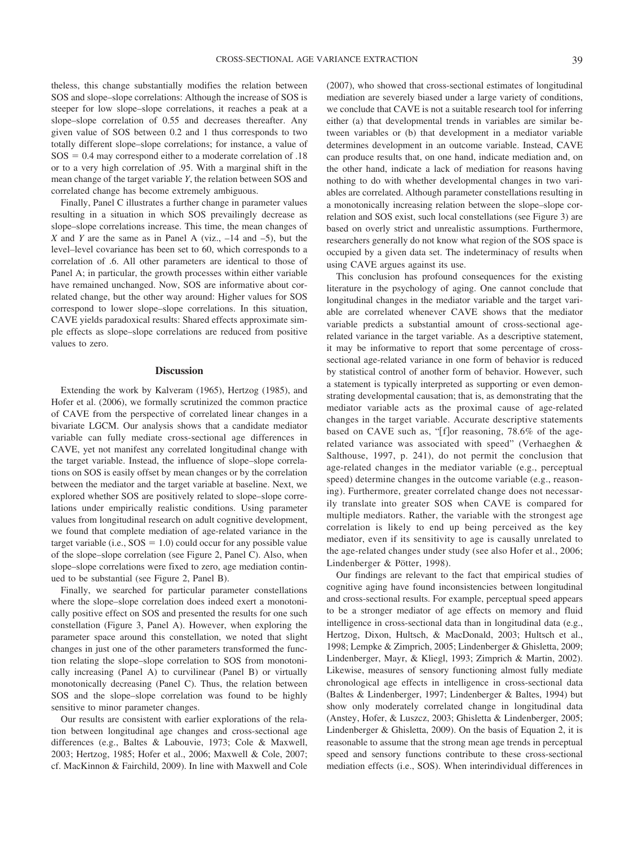theless, this change substantially modifies the relation between SOS and slope–slope correlations: Although the increase of SOS is steeper for low slope–slope correlations, it reaches a peak at a slope–slope correlation of 0.55 and decreases thereafter. Any given value of SOS between 0.2 and 1 thus corresponds to two totally different slope–slope correlations; for instance, a value of  $SOS = 0.4$  may correspond either to a moderate correlation of .18 or to a very high correlation of .95. With a marginal shift in the mean change of the target variable *Y*, the relation between SOS and correlated change has become extremely ambiguous.

Finally, Panel C illustrates a further change in parameter values resulting in a situation in which SOS prevailingly decrease as slope–slope correlations increase. This time, the mean changes of *X* and *Y* are the same as in Panel A (viz.,  $-14$  and  $-5$ ), but the level–level covariance has been set to 60, which corresponds to a correlation of .6. All other parameters are identical to those of Panel A; in particular, the growth processes within either variable have remained unchanged. Now, SOS are informative about correlated change, but the other way around: Higher values for SOS correspond to lower slope–slope correlations. In this situation, CAVE yields paradoxical results: Shared effects approximate simple effects as slope–slope correlations are reduced from positive values to zero.

#### **Discussion**

Extending the work by Kalveram (1965), Hertzog (1985), and Hofer et al. (2006), we formally scrutinized the common practice of CAVE from the perspective of correlated linear changes in a bivariate LGCM. Our analysis shows that a candidate mediator variable can fully mediate cross-sectional age differences in CAVE, yet not manifest any correlated longitudinal change with the target variable. Instead, the influence of slope–slope correlations on SOS is easily offset by mean changes or by the correlation between the mediator and the target variable at baseline. Next, we explored whether SOS are positively related to slope–slope correlations under empirically realistic conditions. Using parameter values from longitudinal research on adult cognitive development, we found that complete mediation of age-related variance in the target variable (i.e.,  $SOS = 1.0$ ) could occur for any possible value of the slope–slope correlation (see Figure 2, Panel C). Also, when slope–slope correlations were fixed to zero, age mediation continued to be substantial (see Figure 2, Panel B).

Finally, we searched for particular parameter constellations where the slope–slope correlation does indeed exert a monotonically positive effect on SOS and presented the results for one such constellation (Figure 3, Panel A). However, when exploring the parameter space around this constellation, we noted that slight changes in just one of the other parameters transformed the function relating the slope–slope correlation to SOS from monotonically increasing (Panel A) to curvilinear (Panel B) or virtually monotonically decreasing (Panel C). Thus, the relation between SOS and the slope–slope correlation was found to be highly sensitive to minor parameter changes.

Our results are consistent with earlier explorations of the relation between longitudinal age changes and cross-sectional age differences (e.g., Baltes & Labouvie, 1973; Cole & Maxwell, 2003; Hertzog, 1985; Hofer et al., 2006; Maxwell & Cole, 2007; cf. MacKinnon & Fairchild, 2009). In line with Maxwell and Cole

(2007), who showed that cross-sectional estimates of longitudinal mediation are severely biased under a large variety of conditions, we conclude that CAVE is not a suitable research tool for inferring either (a) that developmental trends in variables are similar between variables or (b) that development in a mediator variable determines development in an outcome variable. Instead, CAVE can produce results that, on one hand, indicate mediation and, on the other hand, indicate a lack of mediation for reasons having nothing to do with whether developmental changes in two variables are correlated. Although parameter constellations resulting in a monotonically increasing relation between the slope–slope correlation and SOS exist, such local constellations (see Figure 3) are based on overly strict and unrealistic assumptions. Furthermore, researchers generally do not know what region of the SOS space is occupied by a given data set. The indeterminacy of results when using CAVE argues against its use.

This conclusion has profound consequences for the existing literature in the psychology of aging. One cannot conclude that longitudinal changes in the mediator variable and the target variable are correlated whenever CAVE shows that the mediator variable predicts a substantial amount of cross-sectional agerelated variance in the target variable. As a descriptive statement, it may be informative to report that some percentage of crosssectional age-related variance in one form of behavior is reduced by statistical control of another form of behavior. However, such a statement is typically interpreted as supporting or even demonstrating developmental causation; that is, as demonstrating that the mediator variable acts as the proximal cause of age-related changes in the target variable. Accurate descriptive statements based on CAVE such as, " $[f]$ or reasoning, 78.6% of the agerelated variance was associated with speed" (Verhaeghen & Salthouse, 1997, p. 241), do not permit the conclusion that age-related changes in the mediator variable (e.g., perceptual speed) determine changes in the outcome variable (e.g., reasoning). Furthermore, greater correlated change does not necessarily translate into greater SOS when CAVE is compared for multiple mediators. Rather, the variable with the strongest age correlation is likely to end up being perceived as the key mediator, even if its sensitivity to age is causally unrelated to the age-related changes under study (see also Hofer et al., 2006; Lindenberger & Pötter, 1998).

Our findings are relevant to the fact that empirical studies of cognitive aging have found inconsistencies between longitudinal and cross-sectional results. For example, perceptual speed appears to be a stronger mediator of age effects on memory and fluid intelligence in cross-sectional data than in longitudinal data (e.g., Hertzog, Dixon, Hultsch, & MacDonald, 2003; Hultsch et al., 1998; Lempke & Zimprich, 2005; Lindenberger & Ghisletta, 2009; Lindenberger, Mayr, & Kliegl, 1993; Zimprich & Martin, 2002). Likewise, measures of sensory functioning almost fully mediate chronological age effects in intelligence in cross-sectional data (Baltes & Lindenberger, 1997; Lindenberger & Baltes, 1994) but show only moderately correlated change in longitudinal data (Anstey, Hofer, & Luszcz, 2003; Ghisletta & Lindenberger, 2005; Lindenberger & Ghisletta, 2009). On the basis of Equation 2, it is reasonable to assume that the strong mean age trends in perceptual speed and sensory functions contribute to these cross-sectional mediation effects (i.e., SOS). When interindividual differences in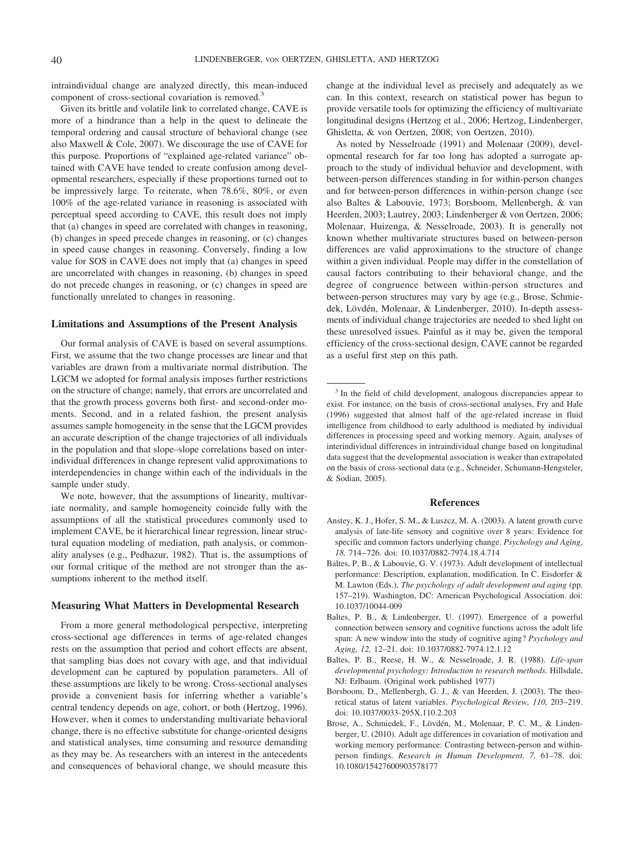intraindividual change are analyzed directly, this mean-induced component of cross-sectional covariation is removed.<sup>3</sup>

Given its brittle and volatile link to correlated change, CAVE is more of a hindrance than a help in the quest to delineate the temporal ordering and causal structure of behavioral change (see also Maxwell & Cole, 2007). We discourage the use of CAVE for this purpose. Proportions of "explained age-related variance" obtained with CAVE have tended to create confusion among developmental researchers, especially if these proportions turned out to be impressively large. To reiterate, when 78.6%, 80%, or even 100% of the age-related variance in reasoning is associated with perceptual speed according to CAVE, this result does not imply that (a) changes in speed are correlated with changes in reasoning, (b) changes in speed precede changes in reasoning, or (c) changes in speed cause changes in reasoning. Conversely, finding a low value for SOS in CAVE does not imply that (a) changes in speed are uncorrelated with changes in reasoning, (b) changes in speed do not precede changes in reasoning, or (c) changes in speed are functionally unrelated to changes in reasoning.

#### **Limitations and Assumptions of the Present Analysis**

Our formal analysis of CAVE is based on several assumptions. First, we assume that the two change processes are linear and that variables are drawn from a multivariate normal distribution. The LGCM we adopted for formal analysis imposes further restrictions on the structure of change; namely, that errors are uncorrelated and that the growth process governs both first- and second-order moments. Second, and in a related fashion, the present analysis assumes sample homogeneity in the sense that the LGCM provides an accurate description of the change trajectories of all individuals in the population and that slope–slope correlations based on interindividual differences in change represent valid approximations to interdependencies in change within each of the individuals in the sample under study.

We note, however, that the assumptions of linearity, multivariate normality, and sample homogeneity coincide fully with the assumptions of all the statistical procedures commonly used to implement CAVE, be it hierarchical linear regression, linear structural equation modeling of mediation, path analysis, or commonality analyses (e.g., Pedhazur, 1982). That is, the assumptions of our formal critique of the method are not stronger than the assumptions inherent to the method itself.

#### **Measuring What Matters in Developmental Research**

From a more general methodological perspective, interpreting cross-sectional age differences in terms of age-related changes rests on the assumption that period and cohort effects are absent, that sampling bias does not covary with age, and that individual development can be captured by population parameters. All of these assumptions are likely to be wrong. Cross-sectional analyses provide a convenient basis for inferring whether a variable's central tendency depends on age, cohort, or both (Hertzog, 1996). However, when it comes to understanding multivariate behavioral change, there is no effective substitute for change-oriented designs and statistical analyses, time consuming and resource demanding as they may be. As researchers with an interest in the antecedents and consequences of behavioral change, we should measure this change at the individual level as precisely and adequately as we can. In this context, research on statistical power has begun to provide versatile tools for optimizing the efficiency of multivariate longitudinal designs (Hertzog et al., 2006; Hertzog, Lindenberger, Ghisletta, & von Oertzen, 2008; von Oertzen, 2010).

As noted by Nesselroade (1991) and Molenaar (2009), developmental research for far too long has adopted a surrogate approach to the study of individual behavior and development, with between-person differences standing in for within-person changes and for between-person differences in within-person change (see also Baltes & Labouvie, 1973; Borsboom, Mellenbergh, & van Heerden, 2003; Lautrey, 2003; Lindenberger & von Oertzen, 2006; Molenaar, Huizenga, & Nesselroade, 2003). It is generally not known whether multivariate structures based on between-person differences are valid approximations to the structure of change within a given individual. People may differ in the constellation of causal factors contributing to their behavioral change, and the degree of congruence between within-person structures and between-person structures may vary by age (e.g., Brose, Schmiedek, Lövdén, Molenaar, & Lindenberger, 2010). In-depth assessments of individual change trajectories are needed to shed light on these unresolved issues. Painful as it may be, given the temporal efficiency of the cross-sectional design, CAVE cannot be regarded as a useful first step on this path.

<sup>3</sup> In the field of child development, analogous discrepancies appear to exist. For instance, on the basis of cross-sectional analyses, Fry and Hale (1996) suggested that almost half of the age-related increase in fluid intelligence from childhood to early adulthood is mediated by individual differences in processing speed and working memory. Again, analyses of interindividual differences in intraindividual change based on longitudinal data suggest that the developmental association is weaker than extrapolated on the basis of cross-sectional data (e.g., Schneider, Schumann-Hengsteler, & Sodian, 2005).

#### **References**

- Anstey, K. J., Hofer, S. M., & Luszcz, M. A. (2003). A latent growth curve analysis of late-life sensory and cognitive over 8 years: Evidence for specific and common factors underlying change. *Psychology and Aging, 18,* 714 –726. doi: 10.1037/0882-7974.18.4.714
- Baltes, P. B., & Labouvie, G. V. (1973). Adult development of intellectual performance: Description, explanation, modification. In C. Eisdorfer & M. Lawton (Eds.), *The psychology of adult development and aging* (pp. 157–219). Washington, DC: American Psychological Association. doi: 10.1037/10044-009
- Baltes, P. B., & Lindenberger, U. (1997). Emergence of a powerful connection between sensory and cognitive functions across the adult life span: A new window into the study of cognitive aging? *Psychology and Aging, 12,* 12–21. doi: 10.1037/0882-7974.12.1.12
- Baltes, P. B., Reese, H. W., & Nesselroade, J. R. (1988). *Life-span developmental psychology: Introduction to research methods.* Hillsdale, NJ: Erlbaum. (Original work published 1977)
- Borsboom, D., Mellenbergh, G. J., & van Heerden, J. (2003). The theoretical status of latent variables. *Psychological Review, 110,* 203–219. doi: 10.1037/0033-295X.110.2.203
- Brose, A., Schmiedek, F., Lövdén, M., Molenaar, P. C. M., & Lindenberger, U. (2010). Adult age differences in covariation of motivation and working memory performance: Contrasting between-person and withinperson findings. *Research in Human Development, 7,* 61–78. doi: 10.1080/15427600903578177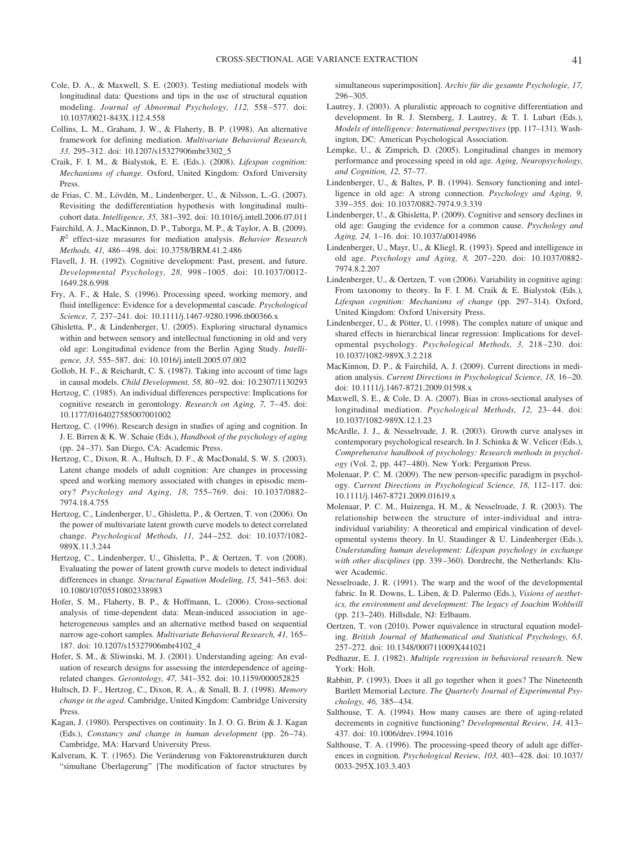- Cole, D. A., & Maxwell, S. E. (2003). Testing mediational models with longitudinal data: Questions and tips in the use of structural equation modeling. *Journal of Abnormal Psychology, 112,* 558 –577. doi: 10.1037/0021-843X.112.4.558
- Collins, L. M., Graham, J. W., & Flaherty, B. P. (1998). An alternative framework for defining mediation. *Multivariate Behavioral Research, 33,* 295–312. doi: 10.1207/s15327906mbr3302\_5
- Craik, F. I. M., & Bialystok, E. E. (Eds.). (2008). *Lifespan cognition: Mechanisms of change.* Oxford, United Kingdom: Oxford University Press.
- de Frias, C. M., Lövdén, M., Lindenberger, U., & Nilsson, L.-G. (2007). Revisiting the dedifferentiation hypothesis with longitudinal multicohort data. *Intelligence, 35,* 381–392. doi: 10.1016/j.intell.2006.07.011
- Fairchild, A. J., MacKinnon, D. P., Taborga, M. P., & Taylor, A. B. (2009). *R*<sup>2</sup> effect-size measures for mediation analysis. *Behavior Research Methods, 41,* 486 – 498. doi: 10.3758/BRM.41.2.486
- Flavell, J. H. (1992). Cognitive development: Past, present, and future. *Developmental Psychology, 28,* 998 –1005. doi: 10.1037/0012- 1649.28.6.998
- Fry, A. F., & Hale, S. (1996). Processing speed, working memory, and fluid intelligence: Evidence for a developmental cascade. *Psychological Science, 7,* 237–241. doi: 10.1111/j.1467-9280.1996.tb00366.x
- Ghisletta, P., & Lindenberger, U. (2005). Exploring structural dynamics within and between sensory and intellectual functioning in old and very old age: Longitudinal evidence from the Berlin Aging Study. *Intelligence, 33,* 555–587. doi: 10.1016/j.intell.2005.07.002
- Gollob, H. F., & Reichardt, C. S. (1987). Taking into account of time lags in causal models. *Child Development, 58,* 80 –92. doi: 10.2307/1130293
- Hertzog, C. (1985). An individual differences perspective: Implications for cognitive research in gerontology. *Research on Aging, 7, 7-45*. doi: 10.1177/0164027585007001002
- Hertzog, C. (1996). Research design in studies of aging and cognition. In J. E. Birren & K. W. Schaie (Eds.), *Handbook of the psychology of aging* (pp. 24 –37). San Diego, CA: Academic Press.
- Hertzog, C., Dixon, R. A., Hultsch, D. F., & MacDonald, S. W. S. (2003). Latent change models of adult cognition: Are changes in processing speed and working memory associated with changes in episodic memory? *Psychology and Aging, 18,* 755–769. doi: 10.1037/0882- 7974.18.4.755
- Hertzog, C., Lindenberger, U., Ghisletta, P., & Oertzen, T. von (2006). On the power of multivariate latent growth curve models to detect correlated change. *Psychological Methods, 11,* 244 –252. doi: 10.1037/1082- 989X.11.3.244
- Hertzog, C., Lindenberger, U., Ghisletta, P., & Oertzen, T. von (2008). Evaluating the power of latent growth curve models to detect individual differences in change. *Structural Equation Modeling, 15,* 541–563. doi: 10.1080/10705510802338983
- Hofer, S. M., Flaherty, B. P., & Hoffmann, L. (2006). Cross-sectional analysis of time-dependent data: Mean-induced association in ageheterogeneous samples and an alternative method based on sequential narrow age-cohort samples. *Multivariate Behavioral Research, 41,* 165– 187. doi: 10.1207/s15327906mbr4102\_4
- Hofer, S. M., & Sliwinski, M. J. (2001). Understanding ageing: An evaluation of research designs for assessing the interdependence of ageingrelated changes. *Gerontology, 47,* 341–352. doi: 10.1159/000052825
- Hultsch, D. F., Hertzog, C., Dixon, R. A., & Small, B. J. (1998). *Memory change in the aged.* Cambridge, United Kingdom: Cambridge University Press.
- Kagan, J. (1980). Perspectives on continuity. In J. O. G. Brim & J. Kagan (Eds.), *Constancy and change in human development* (pp. 26-74). Cambridge, MA: Harvard University Press.
- Kalveram, K. T. (1965). Die Veränderung von Faktorenstrukturen durch "simultane Überlagerung" [The modification of factor structures by

simultaneous superimposition]. *Archiv für die gesamte Psychologie, 17*, 296 –305.

- Lautrey, J. (2003). A pluralistic approach to cognitive differentiation and development. In R. J. Sternberg, J. Lautrey, & T. I. Lubart (Eds.), *Models of intelligence: International perspectives* (pp. 117–131). Washington, DC: American Psychological Association.
- Lempke, U., & Zimprich, D. (2005). Longitudinal changes in memory performance and processing speed in old age. *Aging, Neuropsychology, and Cognition, 12,* 57–77.
- Lindenberger, U., & Baltes, P. B. (1994). Sensory functioning and intelligence in old age: A strong connection. *Psychology and Aging, 9,* 339 –355. doi: 10.1037/0882-7974.9.3.339
- Lindenberger, U., & Ghisletta, P. (2009). Cognitive and sensory declines in old age: Gauging the evidence for a common cause. *Psychology and Aging, 24,* 1–16. doi: 10.1037/a0014986
- Lindenberger, U., Mayr, U., & Kliegl, R. (1993). Speed and intelligence in old age. *Psychology and Aging, 8,* 207–220. doi: 10.1037/0882- 7974.8.2.207
- Lindenberger, U., & Oertzen, T. von (2006). Variability in cognitive aging: From taxonomy to theory. In F. I. M. Craik & E. Bialystok (Eds.), *Lifespan cognition: Mechanisms of change* (pp. 297–314). Oxford, United Kingdom: Oxford University Press.
- Lindenberger, U., & Pötter, U. (1998). The complex nature of unique and shared effects in hierarchical linear regression: Implications for developmental psychology. *Psychological Methods, 3,* 218 –230. doi: 10.1037/1082-989X.3.2.218
- MacKinnon, D. P., & Fairchild, A. J. (2009). Current directions in mediation analysis. *Current Directions in Psychological Science, 18,* 16 –20. doi: 10.1111/j.1467-8721.2009.01598.x
- Maxwell, S. E., & Cole, D. A. (2007). Bias in cross-sectional analyses of longitudinal mediation. *Psychological Methods*, 12, 23-44. doi: 10.1037/1082-989X.12.1.23
- McArdle, J. J., & Nesselroade, J. R. (2003). Growth curve analyses in contemporary psychological research. In J. Schinka & W. Velicer (Eds.), *Comprehensive handbook of psychology: Research methods in psychology* (Vol. 2, pp. 447– 480). New York: Pergamon Press.
- Molenaar, P. C. M. (2009). The new person-specific paradigm in psychology. *Current Directions in Psychological Science, 18,* 112–117. doi: 10.1111/j.1467-8721.2009.01619.x
- Molenaar, P. C. M., Huizenga, H. M., & Nesselroade, J. R. (2003). The relationship between the structure of inter-individual and intraindividual variability: A theoretical and empirical vindication of developmental systems theory. In U. Staudinger & U. Lindenberger (Eds.), *Understanding human development: Lifespan psychology in exchange with other disciplines* (pp. 339 –360). Dordrecht, the Netherlands: Kluwer Academic.
- Nesselroade, J. R. (1991). The warp and the woof of the developmental fabric. In R. Downs, L. Liben, & D. Palermo (Eds.), *Visions of aesthetics, the environment and development: The legacy of Joachim Wohlwill* (pp. 213–240). Hillsdale, NJ: Erlbaum.
- Oertzen, T. von (2010). Power equivalence in structural equation modeling. *British Journal of Mathematical and Statistical Psychology, 63,* 257–272. doi: 10.1348/000711009X441021
- Pedhazur, E. J. (1982). *Multiple regression in behavioral research.* New York: Holt.
- Rabbitt, P. (1993). Does it all go together when it goes? The Nineteenth Bartlett Memorial Lecture. *The Quarterly Journal of Experimental Psychology, 46,* 385– 434.
- Salthouse, T. A. (1994). How many causes are there of aging-related decrements in cognitive functioning? *Developmental Review, 14,* 413– 437. doi: 10.1006/drev.1994.1016
- Salthouse, T. A. (1996). The processing-speed theory of adult age differences in cognition. *Psychological Review, 103,* 403– 428. doi: 10.1037/ 0033-295X.103.3.403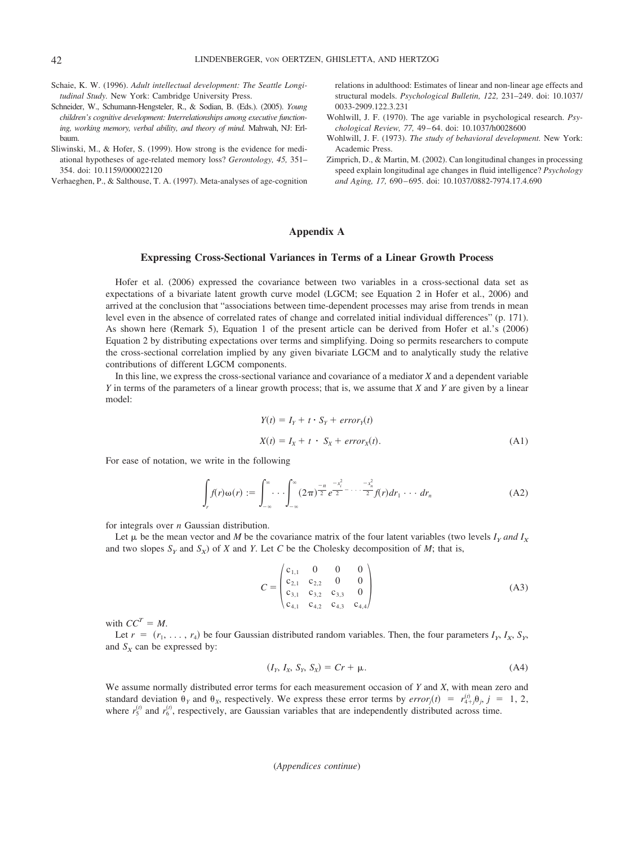- Schaie, K. W. (1996). *Adult intellectual development: The Seattle Longitudinal Study.* New York: Cambridge University Press.
- Schneider, W., Schumann-Hengsteler, R., & Sodian, B. (Eds.). (2005). *Young children's cognitive development: Interrelationships among executive functioning, working memory, verbal ability, and theory of mind.* Mahwah, NJ: Erlbaum.
- Sliwinski, M., & Hofer, S. (1999). How strong is the evidence for mediational hypotheses of age-related memory loss? *Gerontology, 45,* 351– 354. doi: 10.1159/000022120

Verhaeghen, P., & Salthouse, T. A. (1997). Meta-analyses of age-cognition

relations in adulthood: Estimates of linear and non-linear age effects and structural models. *Psychological Bulletin, 122,* 231–249. doi: 10.1037/ 0033-2909.122.3.231

- Wohlwill, J. F. (1970). The age variable in psychological research. *Psychological Review, 77,* 49 – 64. doi: 10.1037/h0028600
- Wohlwill, J. F. (1973). *The study of behavioral development.* New York: Academic Press.
- Zimprich, D., & Martin, M. (2002). Can longitudinal changes in processing speed explain longitudinal age changes in fluid intelligence? *Psychology and Aging, 17,* 690 – 695. doi: 10.1037/0882-7974.17.4.690

## **Appendix A**

#### **Expressing Cross-Sectional Variances in Terms of a Linear Growth Process**

Hofer et al. (2006) expressed the covariance between two variables in a cross-sectional data set as expectations of a bivariate latent growth curve model (LGCM; see Equation 2 in Hofer et al., 2006) and arrived at the conclusion that "associations between time-dependent processes may arise from trends in mean level even in the absence of correlated rates of change and correlated initial individual differences" (p. 171). As shown here (Remark 5), Equation 1 of the present article can be derived from Hofer et al.'s (2006) Equation 2 by distributing expectations over terms and simplifying. Doing so permits researchers to compute the cross-sectional correlation implied by any given bivariate LGCM and to analytically study the relative contributions of different LGCM components.

In this line, we express the cross-sectional variance and covariance of a mediator *X* and a dependent variable *Y* in terms of the parameters of a linear growth process; that is, we assume that *X* and *Y* are given by a linear model:

$$
Y(t) = I_Y + t \cdot S_Y + error_Y(t)
$$
  
\n
$$
X(t) = I_X + t \cdot S_X + error_X(t).
$$
 (A1)

For ease of notation, we write in the following

$$
\int_{r} f(r) \omega(r) := \int_{-\infty}^{\infty} \cdots \int_{-\infty}^{\infty} (2\pi)^{\frac{-n}{2}} e^{\frac{-x_{i}^{2}}{2} - \cdots - \frac{-x_{n}^{2}}{2}} f(r) dr_{1} \cdots dr_{n}
$$
\n(A2)

for integrals over *n* Gaussian distribution.

Let  $\mu$  be the mean vector and *M* be the covariance matrix of the four latent variables (two levels  $I_y$  *and*  $I_x$ and two slopes  $S_Y$  and  $S_X$ ) of *X* and *Y*. Let *C* be the Cholesky decomposition of *M*; that is,

$$
C = \begin{pmatrix} c_{1,1} & 0 & 0 & 0 \\ c_{2,1} & c_{2,2} & 0 & 0 \\ c_{3,1} & c_{3,2} & c_{3,3} & 0 \\ c_{4,1} & c_{4,2} & c_{4,3} & c_{4,4} \end{pmatrix}
$$
 (A3)

with  $CC^T = M$ .

Let  $r = (r_1, \ldots, r_4)$  be four Gaussian distributed random variables. Then, the four parameters  $I_Y, I_X, S_Y$ , and  $S<sub>x</sub>$  can be expressed by:

$$
(I_Y, I_X, S_Y, S_X) = Cr + \mu.
$$
 (A4)

We assume normally distributed error terms for each measurement occasion of *Y* and *X*, with mean zero and standard deviation  $\theta_Y$  and  $\theta_X$ , respectively. We express these error terms by *error*<sub>j</sub>(t) =  $r_{4+j}^{(i)}\theta_j$ , j = 1, 2, where  $r_5^{(i)}$  and  $r_6^{(i)}$ , respectively, are Gaussian variables that are independently distributed across time.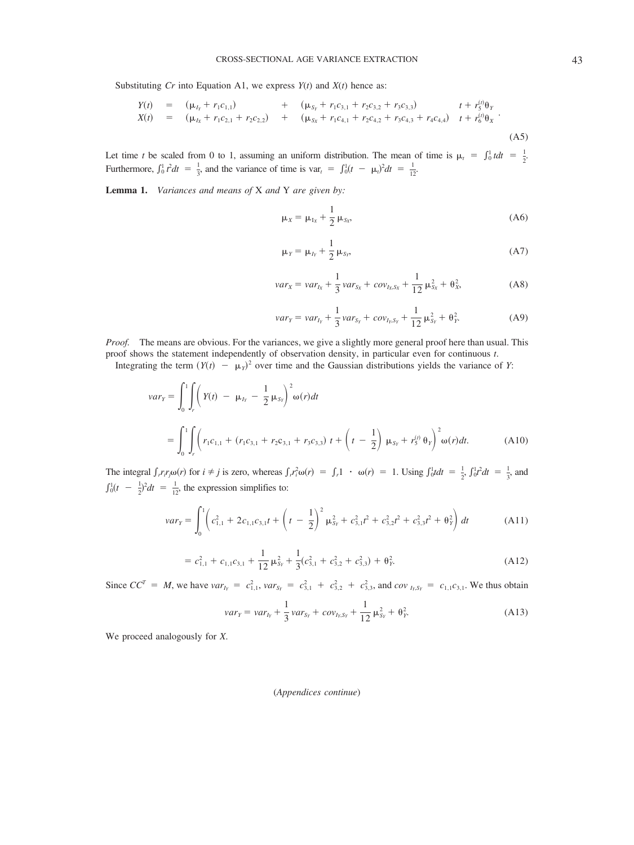Substituting  $Cr$  into Equation A1, we express  $Y(t)$  and  $X(t)$  hence as:

$$
Y(t) = (\mu_{IY} + r_1c_{1,1}) + (\mu_{SY} + r_1c_{3,1} + r_2c_{3,2} + r_3c_{3,3}) \t t + r_5^{(t)}\theta_Y X(t) = (\mu_{IX} + r_1c_{2,1} + r_2c_{2,2}) + (\mu_{SX} + r_1c_{4,1} + r_2c_{4,2} + r_3c_{4,3} + r_4c_{4,4}) \t t + r_6^{(t)}\theta_X
$$
 (A5)

Let time t be scaled from 0 to 1, assuming an uniform distribution. The mean of time is  $\mu_t = \int_0^1 t dt = \frac{1}{2}$ . Furthermore,  $\int_0^1 t^2 dt = \frac{1}{3}$ , and the variance of time is var<sub>t</sub> =  $\int_0^1 (t - \mu_t)^2 dt = \frac{1}{12}$ .

Lemma 1. Variances and means of X and Y are given by:

$$
\mu_X = \mu_{I_X} + \frac{1}{2} \mu_{S_X},
$$
 (A6)

$$
\mu_Y = \mu_{I_Y} + \frac{1}{2} \mu_{S_P},
$$
\n(A7)

$$
var_X = var_{I_X} + \frac{1}{3} var_{S_X} + cov_{I_X, S_X} + \frac{1}{12} \mu_{S_X}^2 + \theta_X^2,
$$
 (A8)

$$
var_{Y} = var_{I_{Y}} + \frac{1}{3} var_{S_{Y}} + cov_{I_{Y},S_{Y}} + \frac{1}{12} \mu_{S_{Y}}^{2} + \theta_{Y}^{2}.
$$
 (A9)

Proof. The means are obvious. For the variances, we give a slightly more general proof here than usual. This proof shows the statement independently of observation density, in particular even for continuous t.

Integrating the term  $(Y(t) - \mu_Y)^2$  over time and the Gaussian distributions yields the variance of Y:

$$
var_{Y} = \int_{0}^{1} \int_{r} \left( Y(t) - \mu_{I_{Y}} - \frac{1}{2} \mu_{S_{Y}} \right)^{2} \omega(r) dt
$$
  
= 
$$
\int_{0}^{1} \int_{r} \left( r_{1}c_{1,1} + (r_{1}c_{3,1} + r_{2}c_{3,1} + r_{3}c_{3,3}) t + \left( t - \frac{1}{2} \right) \mu_{S_{Y}} + r_{5}^{(t)} \theta_{Y} \right)^{2} \omega(r) dt.
$$
 (A10)

The integral  $\int r_i r_j \omega(r)$  for  $i \neq j$  is zero, whereas  $\int r_i^2 \omega(r) = \int r_i \cdot \omega(r) = 1$ . Using  $\int_0^1 t dt = \frac{1}{2} \int_0^1 t^2 dt = \frac{1}{3}$  and  $\int_0^1 (t - \frac{1}{2})^2 dt = \frac{1}{12}$ , the expression simplifies to:

$$
var_Y = \int_0^1 \left( c_{1,1}^2 + 2c_{1,1}c_{3,1}t + \left( t - \frac{1}{2} \right)^2 \mu_{Sy}^2 + c_{3,1}^2 t^2 + c_{3,2}^2 t^2 + c_{3,3}^2 t^2 + \theta_Y^2 \right) dt \tag{A11}
$$

$$
= c_{1,1}^2 + c_{1,1}c_{3,1} + \frac{1}{12}\mu_{S_Y}^2 + \frac{1}{3}(c_{3,1}^2 + c_{3,2}^2 + c_{3,3}^2) + \theta_Y^2.
$$
 (A12)

Since  $CC^T = M$ , we have  $var_{I_Y} = c_{1,1}^2$ ,  $var_{S_Y} = c_{3,1}^2 + c_{3,2}^2 + c_{3,3}^2$ , and  $cov_{I_Y, S_Y} = c_{1,1}c_{3,1}$ . We thus obtain

$$
var_{Y} = var_{I_{Y}} + \frac{1}{3} var_{S_{Y}} + cov_{I_{Y},S_{Y}} + \frac{1}{12} \mu_{S_{Y}}^{2} + \theta_{Y}^{2}.
$$
 (A13)

We proceed analogously for X.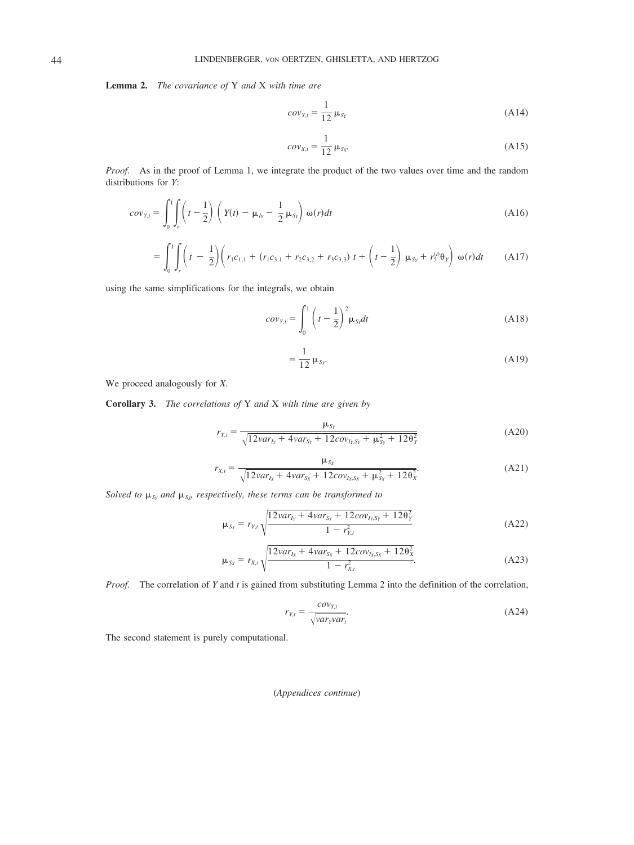**Lemma 2.** *The covariance of* Y *and* X *with time are*

$$
cov_{Y,t} = \frac{1}{12} \mu_{S_Y}
$$
 (A14)

$$
cov_{X,t} = \frac{1}{12} \mu_{S_X}.
$$
\n(A15)

*Proof.* As in the proof of Lemma 1, we integrate the product of the two values over time and the random distributions for *Y*:

$$
cov_{Y,t} = \int_0^1 \int_r \left( t - \frac{1}{2} \right) \left( Y(t) - \mu_{IY} - \frac{1}{2} \mu_{SY} \right) \omega(r) dt \tag{A16}
$$

$$
= \int_0^1 \int_r \left( t - \frac{1}{2} \right) \left( r_1 c_{1,1} + (r_1 c_{3,1} + r_2 c_{3,2} + r_3 c_{3,3}) t + \left( t - \frac{1}{2} \right) \mu_{S_Y} + r_5^{(t)} \theta_Y \right) \omega(r) dt \tag{A17}
$$

using the same simplifications for the integrals, we obtain

$$
cov_{Y,t} = \int_0^1 \left( t - \frac{1}{2} \right)^2 \mu_{St} dt
$$
 (A18)

$$
=\frac{1}{12}\,\mu_{\mathcal{S}_{Y}}.\tag{A19}
$$

We proceed analogously for *X*.

**Corollary 3.** *The correlations of* Y *and* X *with time are given by*

$$
r_{Y,t} = \frac{\mu_{S_Y}}{\sqrt{12var_{I_Y} + 4var_{S_Y} + 12cov_{I_Y,S_Y} + \mu_{S_Y}^2 + 12\theta_Y^2}}
$$
(A20)

$$
r_{X,t} = \frac{\mu_{S_X}}{\sqrt{12var_{I_X} + 4var_{S_X} + 12cov_{I_X, S_X} + \mu_{S_X}^2 + 12\theta_X^2}}.
$$
(A21)

*Solved to*  $\mu_{S_Y}$  *and*  $\mu_{S_X}$  *respectively, these terms can be transformed to* 

$$
\mu_{S_Y} = r_{Y,t} \sqrt{\frac{12var_{I_Y} + 4var_{S_Y} + 12cov_{I_Y,S_Y} + 12\theta_Y^2}{1 - r_{Y,t}^2}} \tag{A22}
$$

$$
\mu_{S_X} = r_{X,t} \sqrt{\frac{12var_{I_X} + 4var_{S_X} + 12cov_{I_X,S_X} + 12\theta_X^2}{1 - r_{X,t}^2}}.
$$
\n(A23)

*Proof.* The correlation of *Y* and *t* is gained from substituting Lemma 2 into the definition of the correlation,

$$
r_{Y,t} = \frac{cov_{Y,t}}{\sqrt{var_Y var_t}}.\tag{A24}
$$

The second statement is purely computational.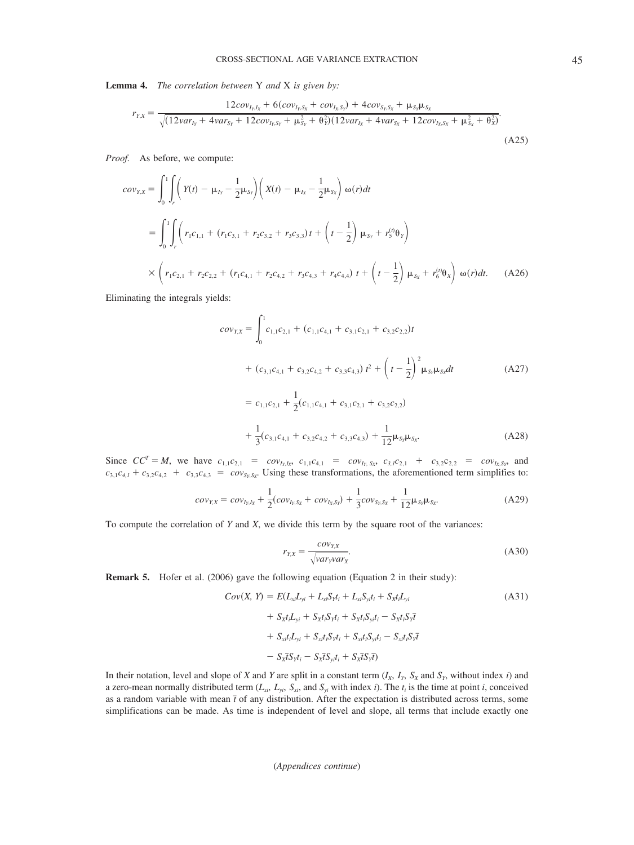**Lemma 4.** The correlation between Y and X is given by:

$$
r_{Y,X} = \frac{12cov_{I_Y, I_X} + 6(cov_{I_Y, S_Y} + cov_{I_X, S_Y}) + 4cov_{S_Y, S_X} + \mu_{S_Y} \mu_{S_X}}{\sqrt{(12var_{I_Y} + 4var_{S_Y} + 12cov_{I_Y, S_Y} + \mu_{S_Y}^2 + \theta_Y^2)(12var_{I_X} + 4var_{S_X} + 12cov_{I_X, S_X} + \mu_{S_X}^2 + \theta_X^2)}}.
$$
\n(A25)

Proof. As before, we compute:

$$
cov_{Y,X} = \int_0^1 \int_r \left( Y(t) - \mu_{I_Y} - \frac{1}{2} \mu_{S_Y} \right) \left( X(t) - \mu_{I_X} - \frac{1}{2} \mu_{S_X} \right) \omega(r) dt
$$
  
\n
$$
= \int_0^1 \int_r \left( r_1 c_{1,1} + (r_1 c_{3,1} + r_2 c_{3,2} + r_3 c_{3,3}) t + \left( t - \frac{1}{2} \right) \mu_{S_Y} + r_5^{(i)} \theta_Y \right)
$$
  
\n
$$
\times \left( r_1 c_{2,1} + r_2 c_{2,2} + (r_1 c_{4,1} + r_2 c_{4,2} + r_3 c_{4,3} + r_4 c_{4,4}) t + \left( t - \frac{1}{2} \right) \mu_{S_X} + r_6^{(i)} \theta_X \right) \omega(r) dt.
$$
 (A26)

Eliminating the integrals yields:

$$
cov_{Y,X} = \int_0^1 c_{1,1}c_{2,1} + (c_{1,1}c_{4,1} + c_{3,1}c_{2,1} + c_{3,2}c_{2,2})t
$$
  
+  $(c_{3,1}c_{4,1} + c_{3,2}c_{4,2} + c_{3,3}c_{4,3})t^2 + \left(t - \frac{1}{2}\right)^2 \mu_{S_Y}\mu_{S_X}dt$  (A27)  
=  $c_{1,1}c_{2,1} + \frac{1}{2}(c_{1,1}c_{4,1} + c_{3,1}c_{2,1} + c_{3,2}c_{2,2})$ 

$$
+\frac{1}{3}(c_{3,1}c_{4,1}+c_{3,2}c_{4,2}+c_{3,3}c_{4,3})+\frac{1}{12}\mu_{S_{Y}}\mu_{S_{X}}.
$$
 (A28)

Since  $CC^T = M$ , we have  $c_{1,1}c_{2,1} = cov_{l_X,l_X}$ ,  $c_{1,1}c_{4,1} = cov_{l_X,l_X}$ ,  $c_{3,1}c_{2,1} + c_{3,2}c_{2,2} = cov_{l_X,l_Y}$  and  $c_{3,1}c_{4,1} + c_{3,2}c_{4,2} + c_{3,3}c_{4,3} = cov_{l_X,l_X}$ . Using these transformations, the aforementioned term simplif

$$
cov_{Y,X} = cov_{I_Y,I_X} + \frac{1}{2}(cov_{I_Y,S_X} + cov_{I_X,S_Y}) + \frac{1}{3}cov_{S_Y,S_X} + \frac{1}{12}\mu_{S_Y}\mu_{S_X}.
$$
 (A29)

To compute the correlation of  $Y$  and  $X$ , we divide this term by the square root of the variances:

$$
r_{Y,X} = \frac{cov_{Y,X}}{\sqrt{var_Y var_X}}.\tag{A30}
$$

**Remark 5.** Hofer et al. (2006) gave the following equation (Equation 2 in their study):

$$
Cov(X, Y) = E(L_{xi}L_{yi} + L_{xi}S_{y}t_{i} + L_{xi}S_{y}t_{i} + S_{X}t_{i}L_{yi}
$$
  
+  $S_{X}t_{i}L_{yi} + S_{X}t_{i}S_{Y}t_{i} + S_{X}t_{i}S_{y}t_{i} - S_{X}t_{i}S_{Y}\bar{t}$   
+  $S_{xi}t_{i}L_{yi} + S_{xi}t_{i}S_{Y}t_{i} + S_{xi}t_{i}S_{y}t_{i} - S_{xi}t_{i}S_{Y}\bar{t}$   
-  $S_{X}\bar{t}S_{y}t_{i} - S_{X}\bar{t}S_{y}t_{i} + S_{X}\bar{t}S_{Y}\bar{t}$ 

In their notation, level and slope of X and Y are split in a constant term  $(I_X, I_Y, S_X$  and  $S_Y$ , without index i) and a zero-mean normally distributed term  $(L_{xi}, L_{yi}, S_{xi})$ , and  $S_{yi}$  with index i). The  $t_i$  is the time at point i, conceived as a random variable with mean  $\bar{\tau}$  of any distribution. After the expectation is distributed across terms, some simplifications can be made. As time is independent of level and slope, all terms that include exactly one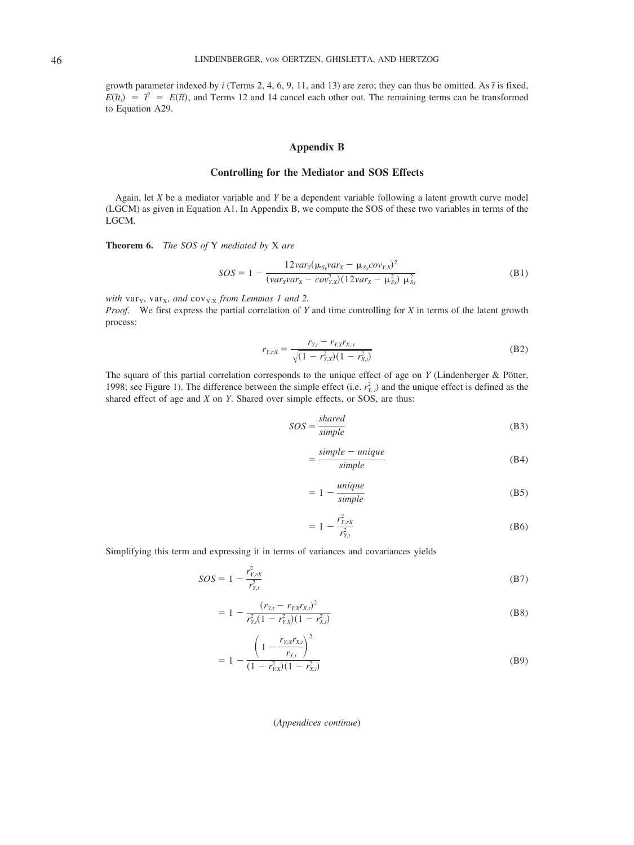growth parameter indexed by *i* (Terms 2, 4, 6, 9, 11, and 13) are zero; they can thus be omitted. As  $\bar{\tau}$  is fixed,  $E(t_i) = \overline{t}^2 = E(\overline{t})$ , and Terms 12 and 14 cancel each other out. The remaining terms can be transformed to Equation A29.

# **Appendix B**

## **Controlling for the Mediator and SOS Effects**

Again, let *X* be a mediator variable and *Y* be a dependent variable following a latent growth curve model (LGCM) as given in Equation A1. In Appendix B, we compute the SOS of these two variables in terms of the LGCM.

**Theorem 6.** *The SOS of* Y *mediated by* X *are*

$$
SOS = 1 - \frac{12var_Y(\mu_{S_Y}var_X - \mu_{S_X}cov_{Y,X})^2}{(var_Yvar_X - cov_{Y,X}^2)(12var_X - \mu_{S_X}^2)\mu_{S_Y}^2}
$$
(B1)

*with* var<sub>y</sub>, var<sub>x</sub>, *and*  $cov_{Y,X}$  *from Lemmas 1 and 2.* 

*Proof.* We first express the partial correlation of *Y* and time controlling for *X* in terms of the latent growth process:

$$
r_{Y,YX} = \frac{r_{Y,t} - r_{Y,X}r_{X,t}}{\sqrt{(1 - r_{Y,X}^2)(1 - r_{X,t}^2)}}
$$
(B2)

The square of this partial correlation corresponds to the unique effect of age on *Y* (Lindenberger & Pötter, 1998; see Figure 1). The difference between the simple effect (i.e.  $r_{Y,t}^2$ ) and the unique effect is defined as the shared effect of age and *X* on *Y*. Shared over simple effects, or SOS, are thus:

$$
SOS = \frac{shared}{simple}
$$
 (B3)

$$
=\frac{simple - unique}{simple}
$$
 (B4)

$$
= 1 - \frac{unique}{simple}
$$
 (B5)

$$
= 1 - \frac{r_{Y_{t}X}^2}{r_{Y_{t}}^2}
$$
 (B6)

Simplifying this term and expressing it in terms of variances and covariances yields

$$
SOS = 1 - \frac{r_{Y,rX}^2}{r_{Y,t}^2}
$$
 (B7)

$$
= 1 - \frac{(r_{Y,t} - r_{Y,X}r_{X,t})^2}{r_{Y,t}^2(1 - r_{Y,X}^2)(1 - r_{X,t}^2)}
$$
(B8)

$$
= 1 - \frac{\left(1 - \frac{r_{Y,X}r_{X,t}}{r_{Y,t}}\right)^2}{(1 - r_{Y,X}^2)(1 - r_{X,t}^2)}
$$
(B9)